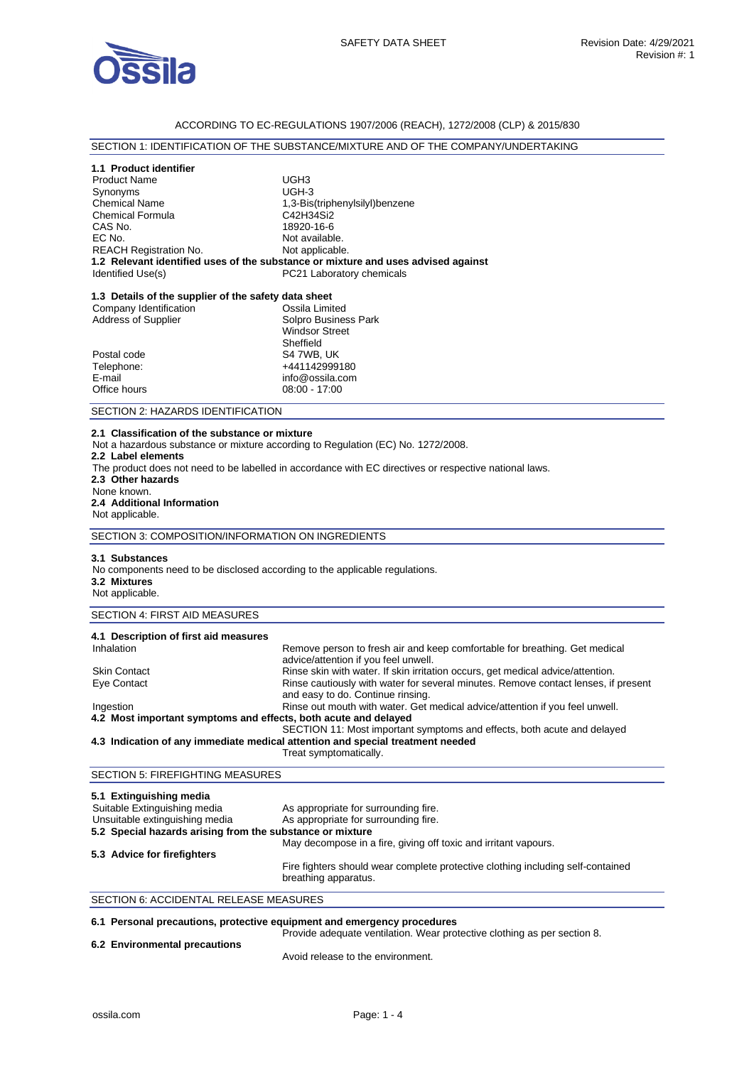

## ACCORDING TO EC-REGULATIONS 1907/2006 (REACH), 1272/2008 (CLP) & 2015/830

## SECTION 1: IDENTIFICATION OF THE SUBSTANCE/MIXTURE AND OF THE COMPANY/UNDERTAKING

|  |  | 1.1 Product identifier |  |
|--|--|------------------------|--|
|--|--|------------------------|--|

| <b>Product Name</b>           | UGH <sub>3</sub>                                                                  |
|-------------------------------|-----------------------------------------------------------------------------------|
| Synonyms                      | $UGH-3$                                                                           |
| <b>Chemical Name</b>          | 1,3-Bis(triphenylsilyl)benzene                                                    |
| <b>Chemical Formula</b>       | C42H34Si2                                                                         |
| CAS No.                       | 18920-16-6                                                                        |
| EC No.                        | Not available.                                                                    |
| <b>REACH Registration No.</b> | Not applicable.                                                                   |
|                               | 1.2 Relevant identified uses of the substance or mixture and uses advised against |
| Identified Use(s)             | PC21 Laboratory chemicals                                                         |
|                               |                                                                                   |

## **1.3 Details of the supplier of the safety data sheet**

| Company Identification     | Ossila Limited        |
|----------------------------|-----------------------|
| <b>Address of Supplier</b> | Solpro Business Park  |
|                            | <b>Windsor Street</b> |
|                            | Sheffield             |
| Postal code                | S4 7WB, UK            |
| Telephone:                 | +441142999180         |
| E-mail                     | info@ossila.com       |
| Office hours               | $08:00 - 17:00$       |
|                            |                       |

#### SECTION 2: HAZARDS IDENTIFICATION

#### **2.1 Classification of the substance or mixture**

Not a hazardous substance or mixture according to Regulation (EC) No. 1272/2008.

- **2.2 Label elements**
- The product does not need to be labelled in accordance with EC directives or respective national laws.

**2.3 Other hazards** 

#### None known. **2.4 Additional Information**

Not applicable.

SECTION 3: COMPOSITION/INFORMATION ON INGREDIENTS

#### **3.1 Substances**

No components need to be disclosed according to the applicable regulations. **3.2 Mixtures** 

### Not applicable.

## SECTION 4: FIRST AID MEASURES

| 4.1 Description of first aid measures                           |                                                                                                                         |
|-----------------------------------------------------------------|-------------------------------------------------------------------------------------------------------------------------|
| Inhalation                                                      | Remove person to fresh air and keep comfortable for breathing. Get medical<br>advice/attention if you feel unwell.      |
| <b>Skin Contact</b>                                             | Rinse skin with water. If skin irritation occurs, get medical advice/attention.                                         |
| Eye Contact                                                     | Rinse cautiously with water for several minutes. Remove contact lenses, if present<br>and easy to do. Continue rinsing. |
| Ingestion                                                       | Rinse out mouth with water. Get medical advice/attention if you feel unwell.                                            |
| 4.2 Most important symptoms and effects, both acute and delayed |                                                                                                                         |
|                                                                 | SECTION 11: Most important symptoms and effects, both acute and delayed                                                 |
|                                                                 | 4.3 Indication of any immediate medical attention and special treatment needed                                          |
|                                                                 | Treat symptomatically.                                                                                                  |

## SECTION 5: FIREFIGHTING MEASURES

| 5.1 Extinguishing media                                   |                                                                                                         |
|-----------------------------------------------------------|---------------------------------------------------------------------------------------------------------|
| Suitable Extinguishing media                              | As appropriate for surrounding fire.                                                                    |
| Unsuitable extinguishing media                            | As appropriate for surrounding fire.                                                                    |
| 5.2 Special hazards arising from the substance or mixture |                                                                                                         |
|                                                           | May decompose in a fire, giving off toxic and irritant vapours.                                         |
| 5.3 Advice for firefighters                               |                                                                                                         |
|                                                           | Fire fighters should wear complete protective clothing including self-contained<br>breathing apparatus. |

### SECTION 6: ACCIDENTAL RELEASE MEASURES

#### **6.1 Personal precautions, protective equipment and emergency procedures**  Provide adequate ventilation. Wear protective clothing as per section 8.

**6.2 Environmental precautions** 

Avoid release to the environment.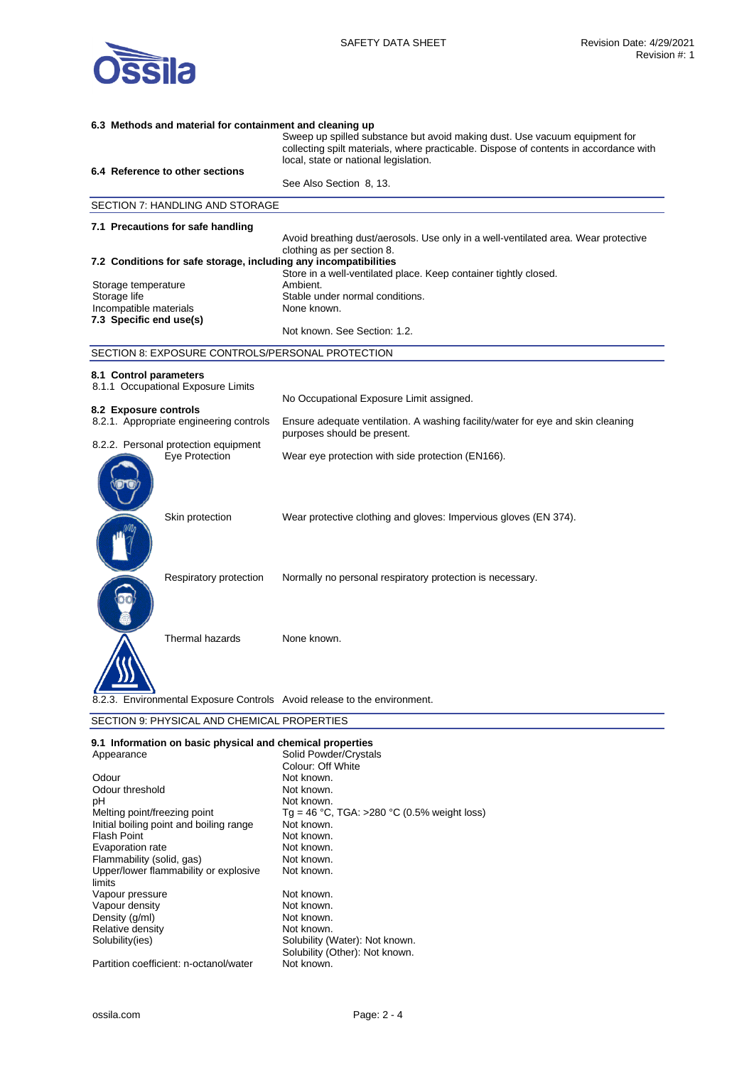

| 6.3 Methods and material for containment and cleaning up |                                                                  |                                                                                                                                                                                                              |
|----------------------------------------------------------|------------------------------------------------------------------|--------------------------------------------------------------------------------------------------------------------------------------------------------------------------------------------------------------|
|                                                          |                                                                  | Sweep up spilled substance but avoid making dust. Use vacuum equipment for<br>collecting spilt materials, where practicable. Dispose of contents in accordance with<br>local, state or national legislation. |
|                                                          | 6.4 Reference to other sections                                  |                                                                                                                                                                                                              |
|                                                          |                                                                  | See Also Section 8, 13.                                                                                                                                                                                      |
|                                                          | SECTION 7: HANDLING AND STORAGE                                  |                                                                                                                                                                                                              |
|                                                          | 7.1 Precautions for safe handling                                |                                                                                                                                                                                                              |
|                                                          |                                                                  | Avoid breathing dust/aerosols. Use only in a well-ventilated area. Wear protective                                                                                                                           |
|                                                          | 7.2 Conditions for safe storage, including any incompatibilities | clothing as per section 8.                                                                                                                                                                                   |
|                                                          |                                                                  | Store in a well-ventilated place. Keep container tightly closed.                                                                                                                                             |
| Storage temperature                                      |                                                                  | Ambient.                                                                                                                                                                                                     |
| Storage life                                             |                                                                  | Stable under normal conditions.                                                                                                                                                                              |
| Incompatible materials                                   |                                                                  | None known.                                                                                                                                                                                                  |
| 7.3 Specific end use(s)                                  |                                                                  | Not known. See Section: 1.2.                                                                                                                                                                                 |
|                                                          | SECTION 8: EXPOSURE CONTROLS/PERSONAL PROTECTION                 |                                                                                                                                                                                                              |
| 8.1 Control parameters                                   |                                                                  |                                                                                                                                                                                                              |
|                                                          | 8.1.1 Occupational Exposure Limits                               |                                                                                                                                                                                                              |
|                                                          |                                                                  | No Occupational Exposure Limit assigned.                                                                                                                                                                     |
| 8.2 Exposure controls                                    |                                                                  |                                                                                                                                                                                                              |
|                                                          | 8.2.1. Appropriate engineering controls                          | Ensure adequate ventilation. A washing facility/water for eye and skin cleaning<br>purposes should be present.                                                                                               |
|                                                          | 8.2.2. Personal protection equipment<br>Eye Protection           | Wear eye protection with side protection (EN166).                                                                                                                                                            |
|                                                          |                                                                  |                                                                                                                                                                                                              |
|                                                          | Skin protection                                                  | Wear protective clothing and gloves: Impervious gloves (EN 374).                                                                                                                                             |
|                                                          | Respiratory protection                                           | Normally no personal respiratory protection is necessary.                                                                                                                                                    |
|                                                          | Thermal hazards                                                  | None known.                                                                                                                                                                                                  |
|                                                          |                                                                  | 8.2.3. Environmental Exposure Controls Avoid release to the environment.                                                                                                                                     |
|                                                          | SECTION 9: PHYSICAL AND CHEMICAL PROPERTIES                      |                                                                                                                                                                                                              |
|                                                          | 9.1 Information on basic physical and chemical properties        |                                                                                                                                                                                                              |

| Appearance                              | Solid Powder/Crystals                       |
|-----------------------------------------|---------------------------------------------|
|                                         | Colour: Off White                           |
| Odour                                   | Not known.                                  |
| Odour threshold                         | Not known.                                  |
| рH                                      | Not known.                                  |
| Melting point/freezing point            | Tg = 46 °C, TGA: >280 °C (0.5% weight loss) |
| Initial boiling point and boiling range | Not known.                                  |
| <b>Flash Point</b>                      | Not known.                                  |
| Evaporation rate                        | Not known.                                  |
| Flammability (solid, gas)               | Not known.                                  |
| Upper/lower flammability or explosive   | Not known.                                  |
| limits                                  |                                             |
| Vapour pressure                         | Not known.                                  |
| Vapour density                          | Not known.                                  |
| Density (g/ml)                          | Not known.                                  |
| Relative density                        | Not known.                                  |
| Solubility(ies)                         | Solubility (Water): Not known.              |
|                                         | Solubility (Other): Not known.              |
| Partition coefficient: n-octanol/water  | Not known.                                  |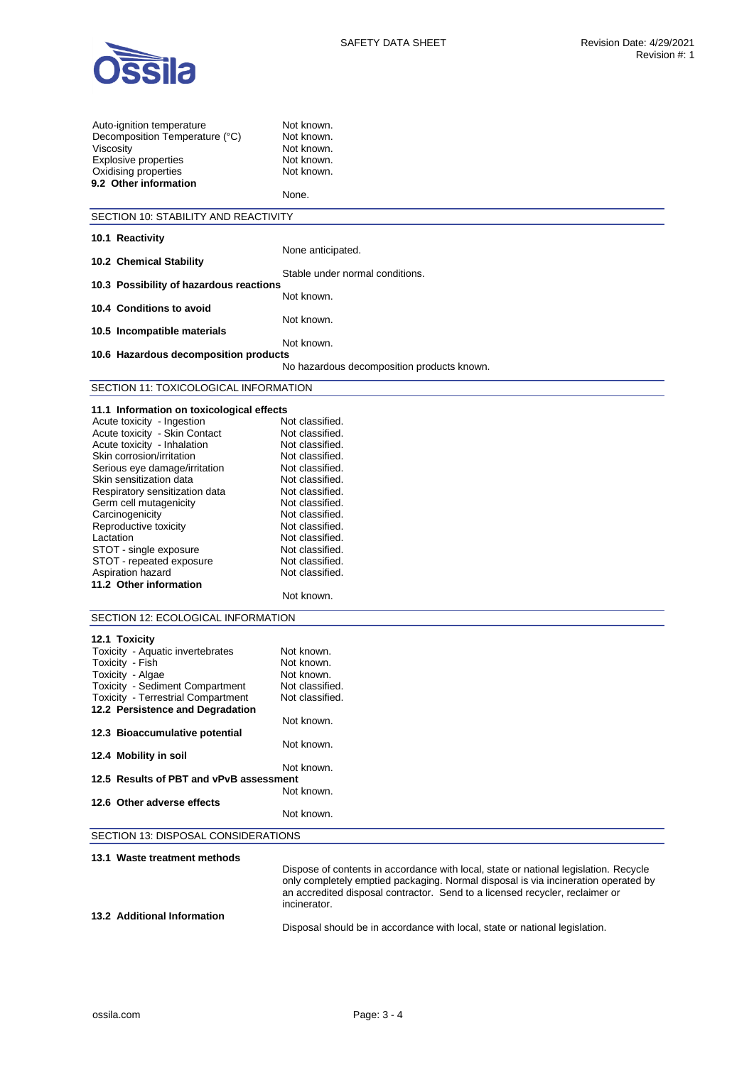

| Auto-ignition temperature<br>Decomposition Temperature (°C)<br>Viscosity<br><b>Explosive properties</b><br>Oxidising properties<br>9.2 Other information | Not known.<br>Not known.<br>Not known.<br>Not known.<br>Not known.<br>None.          |
|----------------------------------------------------------------------------------------------------------------------------------------------------------|--------------------------------------------------------------------------------------|
| SECTION 10: STABILITY AND REACTIVITY                                                                                                                     |                                                                                      |
|                                                                                                                                                          |                                                                                      |
| 10.1 Reactivity                                                                                                                                          | None anticipated.                                                                    |
| 10.2 Chemical Stability                                                                                                                                  |                                                                                      |
|                                                                                                                                                          | Stable under normal conditions.                                                      |
| 10.3 Possibility of hazardous reactions                                                                                                                  | Not known.                                                                           |
| 10.4 Conditions to avoid                                                                                                                                 |                                                                                      |
|                                                                                                                                                          | Not known.                                                                           |
| 10.5 Incompatible materials                                                                                                                              |                                                                                      |
|                                                                                                                                                          | Not known.                                                                           |
| 10.6 Hazardous decomposition products                                                                                                                    | No hazardous decomposition products known.                                           |
|                                                                                                                                                          |                                                                                      |
| SECTION 11: TOXICOLOGICAL INFORMATION                                                                                                                    |                                                                                      |
| 11.1 Information on toxicological effects                                                                                                                |                                                                                      |
| Acute toxicity - Ingestion                                                                                                                               | Not classified.                                                                      |
| Acute toxicity - Skin Contact                                                                                                                            | Not classified.                                                                      |
| Acute toxicity - Inhalation                                                                                                                              | Not classified.                                                                      |
| Skin corrosion/irritation                                                                                                                                | Not classified.                                                                      |
| Serious eye damage/irritation                                                                                                                            | Not classified.                                                                      |
| Skin sensitization data                                                                                                                                  | Not classified.                                                                      |
| Respiratory sensitization data                                                                                                                           | Not classified.                                                                      |
| Germ cell mutagenicity                                                                                                                                   | Not classified.                                                                      |
| Carcinogenicity                                                                                                                                          | Not classified.                                                                      |
| Reproductive toxicity                                                                                                                                    | Not classified.                                                                      |
| Lactation                                                                                                                                                | Not classified.<br>Not classified.                                                   |
| STOT - single exposure<br>STOT - repeated exposure                                                                                                       | Not classified.                                                                      |
| Aspiration hazard                                                                                                                                        | Not classified.                                                                      |
| 11.2 Other information                                                                                                                                   |                                                                                      |
|                                                                                                                                                          | Not known.                                                                           |
|                                                                                                                                                          |                                                                                      |
| SECTION 12: ECOLOGICAL INFORMATION                                                                                                                       |                                                                                      |
| 12.1 Toxicity                                                                                                                                            |                                                                                      |
| Toxicity - Aquatic invertebrates                                                                                                                         | Not known.                                                                           |
| Toxicity - Fish                                                                                                                                          | Not known.                                                                           |
| Toxicity - Algae                                                                                                                                         | Not known                                                                            |
| Toxicity - Sediment Compartment                                                                                                                          | Not classified.                                                                      |
| Toxicity - Terrestrial Compartment                                                                                                                       | Not classified.                                                                      |
| 12.2 Persistence and Degradation                                                                                                                         |                                                                                      |
| 12.3 Bioaccumulative potential                                                                                                                           | Not known.                                                                           |
|                                                                                                                                                          | Not known.                                                                           |
| 12.4 Mobility in soil                                                                                                                                    |                                                                                      |
|                                                                                                                                                          | Not known.                                                                           |
| 12.5 Results of PBT and vPvB assessment                                                                                                                  |                                                                                      |
|                                                                                                                                                          | Not known.                                                                           |
| 12.6 Other adverse effects                                                                                                                               |                                                                                      |
|                                                                                                                                                          | Not known.                                                                           |
| SECTION 13: DISPOSAL CONSIDERATIONS                                                                                                                      |                                                                                      |
|                                                                                                                                                          |                                                                                      |
| 13.1 Waste treatment methods                                                                                                                             |                                                                                      |
|                                                                                                                                                          | Dispose of contents in accordance with local, state or national legislation. Recycle |
|                                                                                                                                                          | only completely emptied packaging. Normal disposal is via incineration operated by   |

an accredited disposal contractor. Send to a licensed recycler, reclaimer or incinerator. **13.2 Additional Information** 

Disposal should be in accordance with local, state or national legislation.